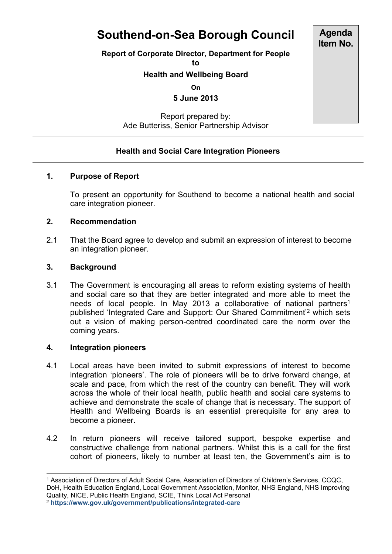# **Southend-on-Sea Borough Council**

**Report of Corporate Director, Department for People**

**to**

## **Health and Wellbeing Board**

**On**

**5 June 2013**

Report prepared by: Ade Butteriss, Senior Partnership Advisor

## **Health and Social Care Integration Pioneers**

### **1. Purpose of Report**

To present an opportunity for Southend to become a national health and social care integration pioneer.

#### **2. Recommendation**

2.1 That the Board agree to develop and submit an expression of interest to become an integration pioneer.

#### **3. Background**

3.1 The Government is encouraging all areas to reform existing systems of health and social care so that they are better integrated and more able to meet the needs of local people. In May 2013 a collaborative of national partners<sup>1</sup> published 'Integrated Care and Support: Our Shared Commitment'<sup>2</sup> which sets out a vision of making person-centred coordinated care the norm over the coming years.

#### **4. Integration pioneers**

- 4.1 Local areas have been invited to submit expressions of interest to become integration 'pioneers'. The role of pioneers will be to drive forward change, at scale and pace, from which the rest of the country can benefit. They will work across the whole of their local health, public health and social care systems to achieve and demonstrate the scale of change that is necessary. The support of Health and Wellbeing Boards is an essential prerequisite for any area to become a pioneer.
- 4.2 In return pioneers will receive tailored support, bespoke expertise and constructive challenge from national partners. Whilst this is a call for the first cohort of pioneers, likely to number at least ten, the Government's aim is to

<sup>2</sup> **<https://www.gov.uk/government/publications/integrated-care>**

**Agenda Item No.**

<sup>1</sup> Association of Directors of Adult Social Care, Association of Directors of Children's Services, CCQC, DoH, Health Education England, Local Government Association, Monitor, NHS England, NHS Improving Quality, NICE, Public Health England, SCIE, Think Local Act Personal